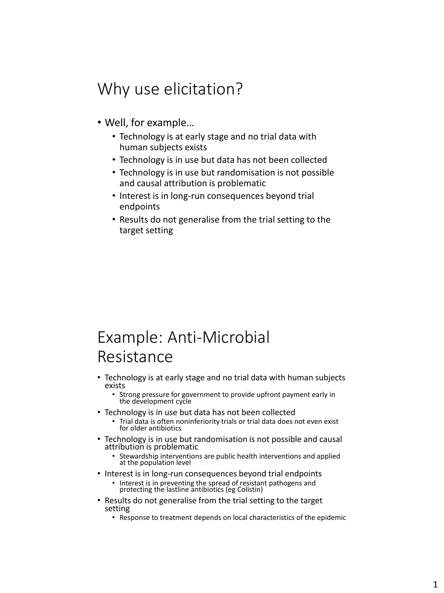## Why use elicitation?

- Well, for example…
	- Technology is at early stage and no trial data with human subjects exists
	- Technology is in use but data has not been collected
	- Technology is in use but randomisation is not possible and causal attribution is problematic
	- Interest is in long-run consequences beyond trial endpoints
	- Results do not generalise from the trial setting to the target setting

## Example: Anti-Microbial Resistance

• Technology is at early stage and no trial data with human subjects exists

• Strong pressure for government to provide upfront payment early in the development cycle

- Technology is in use but data has not been collected
	- Trial data is often noninferiority trials or trial data does not even exist for older antibiotics
- Technology is in use but randomisation is not possible and causal attribution is problematic
	- Stewardship interventions are public health interventions and applied at the population level
- Interest is in long-run consequences beyond trial endpoints
	- Interest is in preventing the spread of resistant pathogens and protecting the lastline antibiotics (eg Colistin)
- Results do not generalise from the trial setting to the target setting
	- Response to treatment depends on local characteristics of the epidemic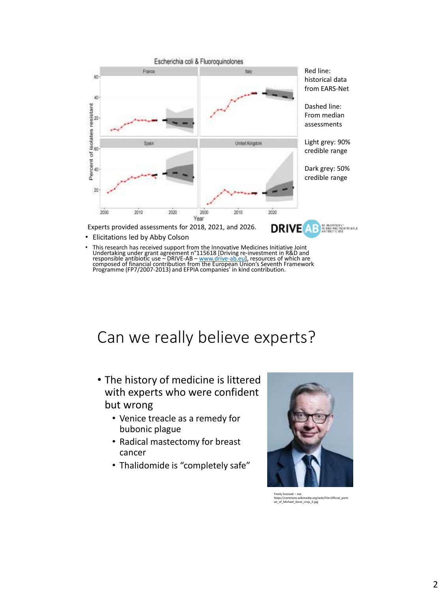

- Elicitations led by Abby Colson
- This research has received support from the Innovative Medicines Initiative Joint<br>Undertaking under grant agreement n°115618 [Driving re-investment in R&D and<br>responsible antibiotic use DRIVE-AB <u>www.drive-ab.eu</u>l,

## Can we really believe experts?

- The history of medicine is littered with experts who were confident but wrong
	- Venice treacle as a remedy for bubonic plague
	- Radical mastectomy for breast cancer
	- Thalidomide is "completely safe"



Freely licensed – see https://commons.wikimedia.org/wiki/File:Official\_portr ait\_of\_Michael\_Gove\_crop\_2.jpg